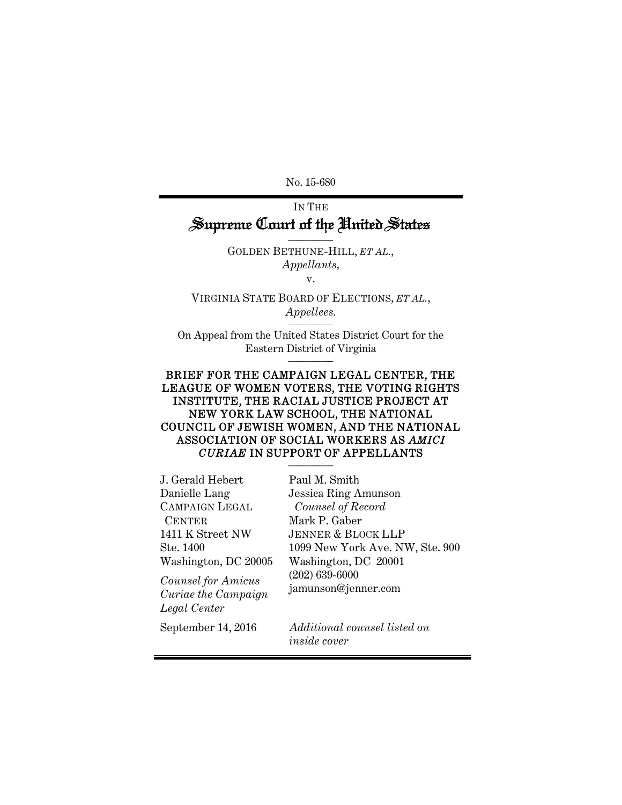No. 15-680

## IN THE Supreme Court of the United States

GOLDEN BETHUNE-HILL, *ET AL.*, *Appellants,* 

 $\overline{\phantom{a}}$ 

v.

VIRGINIA STATE BOARD OF ELECTIONS, *ET AL.*, *Appellees.*  \_\_\_\_\_\_\_\_\_\_\_\_\_\_

On Appeal from the United States District Court for the Eastern District of Virginia \_\_\_\_\_\_\_\_\_\_\_\_\_\_

#### BRIEF FOR THE CAMPAIGN LEGAL CENTER, THE LEAGUE OF WOMEN VOTERS, THE VOTING RIGHTS INSTITUTE, THE RACIAL JUSTICE PROJECT AT NEW YORK LAW SCHOOL, THE NATIONAL COUNCIL OF JEWISH WOMEN, AND THE NATIONAL ASSOCIATION OF SOCIAL WORKERS AS *AMICI CURIAE* IN SUPPORT OF APPELLANTS \_\_\_\_\_\_\_\_\_\_\_\_\_\_

| Paul M. Smith                                       |
|-----------------------------------------------------|
| <b>Jessica Ring Amunson</b>                         |
| Counsel of Record                                   |
| Mark P. Gaber                                       |
| <b>JENNER &amp; BLOCK LLP</b>                       |
| 1099 New York Ave. NW, Ste. 900                     |
| Washington, DC 20001                                |
| $(202) 639 - 6000$                                  |
| jamunson@jenner.com                                 |
|                                                     |
| Additional counsel listed on<br><i>inside</i> cover |
|                                                     |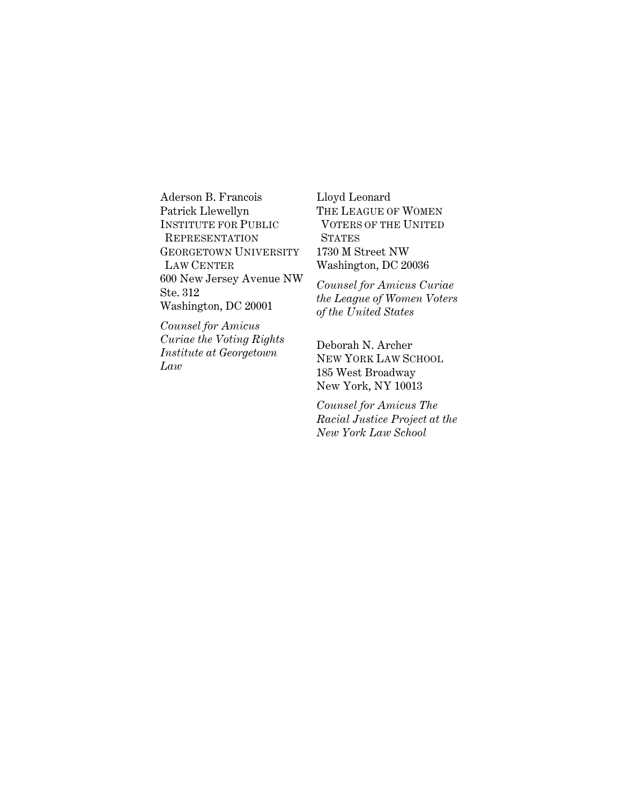Aderson B. Francois Patrick Llewellyn INSTITUTE FOR PUBLIC REPRESENTATION GEORGETOWN UNIVERSITY LAW CENTER 600 New Jersey Avenue NW Ste. 312 Washington, DC 20001

*Counsel for Amicus Curiae the Voting Rights Institute at Georgetown Law* 

Lloyd Leonard THE LEAGUE OF WOMEN VOTERS OF THE UNITED **STATES** 1730 M Street NW Washington, DC 20036

*Counsel for Amicus Curiae the League of Women Voters of the United States* 

Deborah N. Archer NEW YORK LAW SCHOOL 185 West Broadway New York, NY 10013

*Counsel for Amicus The Racial Justice Project at the New York Law School*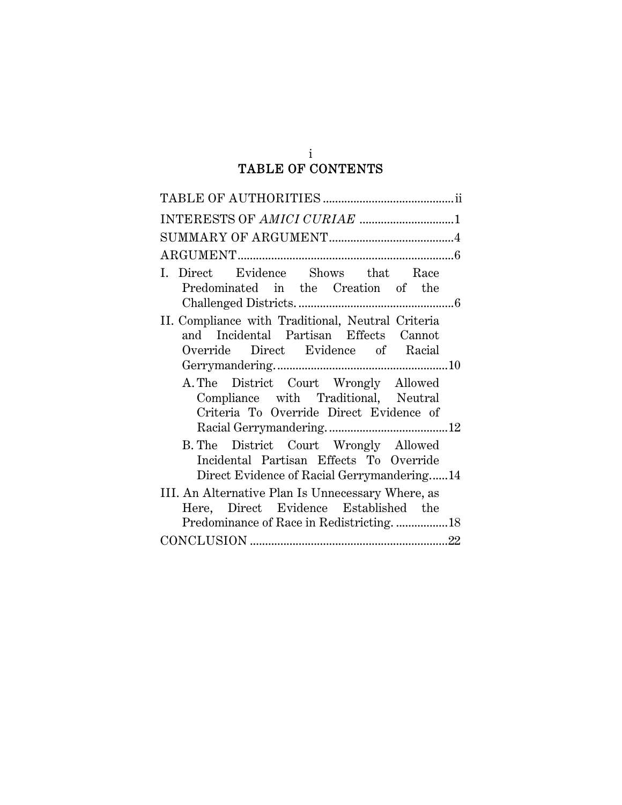## i TABLE OF CONTENTS

| INTERESTS OF AMICI CURIAE 1                                                                                                       |
|-----------------------------------------------------------------------------------------------------------------------------------|
|                                                                                                                                   |
|                                                                                                                                   |
| I. Direct Evidence Shows that Race<br>Predominated in the Creation of the                                                         |
| II. Compliance with Traditional, Neutral Criteria<br>and Incidental Partisan Effects Cannot<br>Override Direct Evidence of Racial |
|                                                                                                                                   |
| A. The District Court Wrongly Allowed<br>Compliance with Traditional, Neutral<br>Criteria To Override Direct Evidence of          |
|                                                                                                                                   |
| B. The District Court Wrongly Allowed<br>Incidental Partisan Effects To Override<br>Direct Evidence of Racial Gerrymandering14    |
| III. An Alternative Plan Is Unnecessary Where, as<br>Here, Direct Evidence Established the                                        |
|                                                                                                                                   |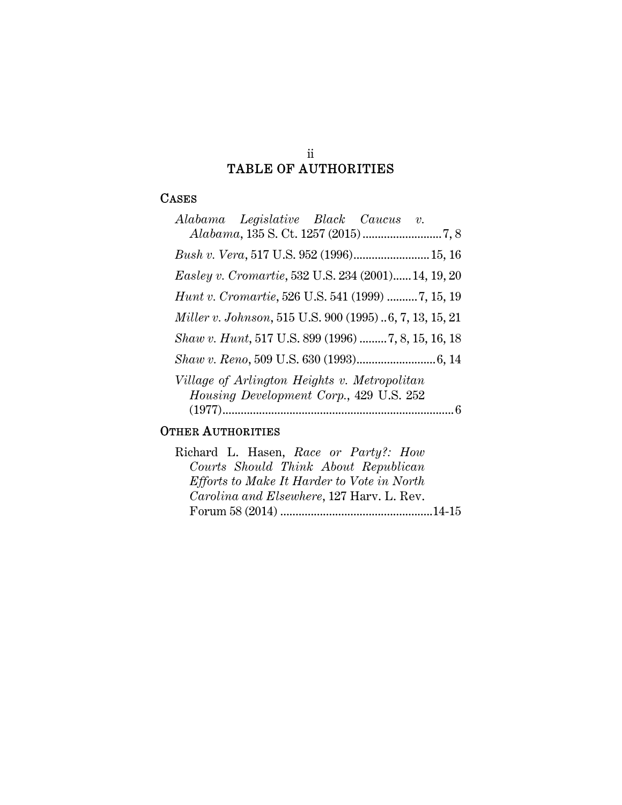#### ii TABLE OF AUTHORITIES

## CASES

## OTHER AUTHORITIES

| Richard L. Hasen, Race or Party?: How      |  |
|--------------------------------------------|--|
| Courts Should Think About Republican       |  |
| Efforts to Make It Harder to Vote in North |  |
| Carolina and Elsewhere, 127 Harv. L. Rev.  |  |
|                                            |  |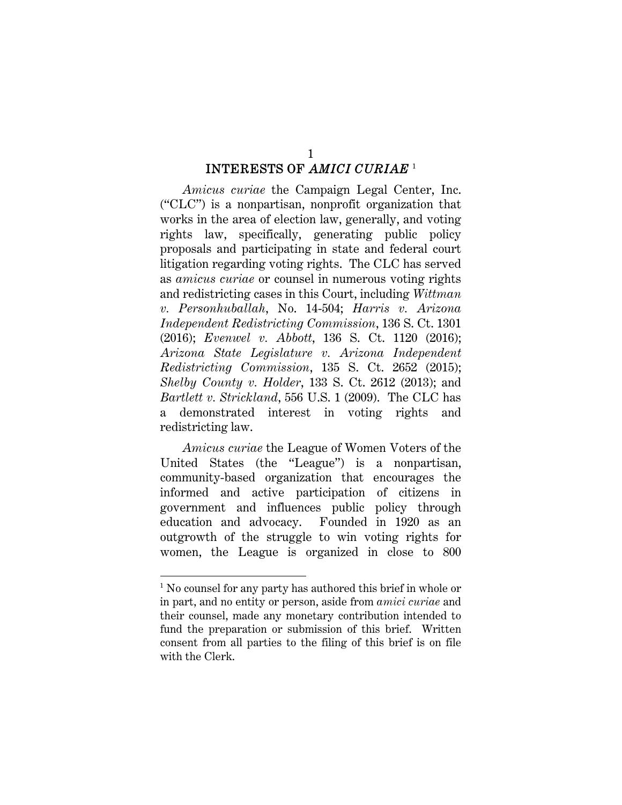# INTERESTS OF *AMICI CURIAE* <sup>1</sup>

*Amicus curiae* the Campaign Legal Center, Inc. ("CLC") is a nonpartisan, nonprofit organization that works in the area of election law, generally, and voting rights law, specifically, generating public policy proposals and participating in state and federal court litigation regarding voting rights. The CLC has served as *amicus curiae* or counsel in numerous voting rights and redistricting cases in this Court, including *Wittman v. Personhuballah*, No. 14-504; *Harris v. Arizona Independent Redistricting Commission*, 136 S. Ct. 1301 (2016); *Evenwel v. Abbott*, 136 S. Ct. 1120 (2016); *Arizona State Legislature v. Arizona Independent Redistricting Commission*, 135 S. Ct. 2652 (2015); *Shelby County v. Holder*, 133 S. Ct. 2612 (2013); and *Bartlett v. Strickland*, 556 U.S. 1 (2009). The CLC has a demonstrated interest in voting rights and redistricting law.

*Amicus curiae* the League of Women Voters of the United States (the "League") is a nonpartisan, community-based organization that encourages the informed and active participation of citizens in government and influences public policy through education and advocacy. Founded in 1920 as an outgrowth of the struggle to win voting rights for women, the League is organized in close to 800

l

<sup>&</sup>lt;sup>1</sup> No counsel for any party has authored this brief in whole or in part, and no entity or person, aside from *amici curiae* and their counsel, made any monetary contribution intended to fund the preparation or submission of this brief. Written consent from all parties to the filing of this brief is on file with the Clerk.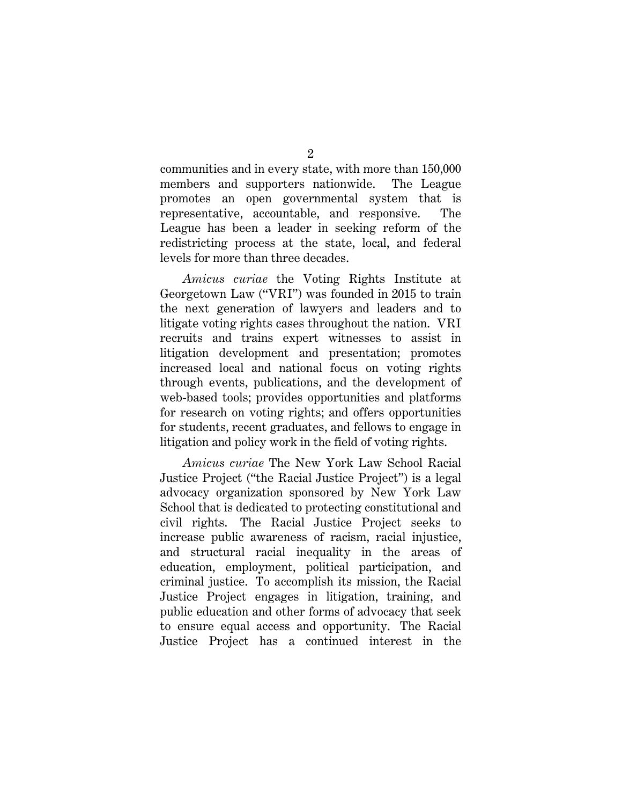communities and in every state, with more than 150,000 members and supporters nationwide. The League promotes an open governmental system that is representative, accountable, and responsive. The League has been a leader in seeking reform of the redistricting process at the state, local, and federal levels for more than three decades.

*Amicus curiae* the Voting Rights Institute at Georgetown Law ("VRI") was founded in 2015 to train the next generation of lawyers and leaders and to litigate voting rights cases throughout the nation. VRI recruits and trains expert witnesses to assist in litigation development and presentation; promotes increased local and national focus on voting rights through events, publications, and the development of web-based tools; provides opportunities and platforms for research on voting rights; and offers opportunities for students, recent graduates, and fellows to engage in litigation and policy work in the field of voting rights.

*Amicus curiae* The New York Law School Racial Justice Project ("the Racial Justice Project") is a legal advocacy organization sponsored by New York Law School that is dedicated to protecting constitutional and civil rights. The Racial Justice Project seeks to increase public awareness of racism, racial injustice, and structural racial inequality in the areas of education, employment, political participation, and criminal justice. To accomplish its mission, the Racial Justice Project engages in litigation, training, and public education and other forms of advocacy that seek to ensure equal access and opportunity. The Racial Justice Project has a continued interest in the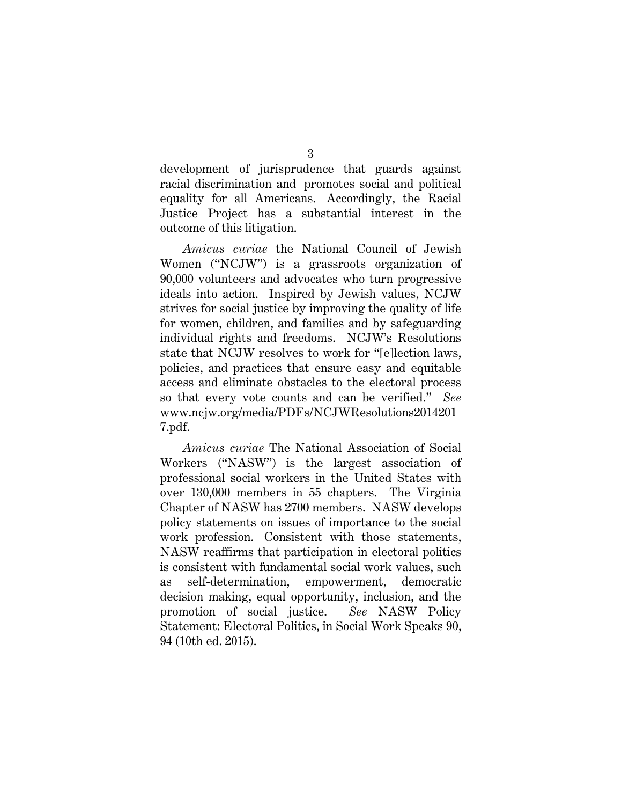development of jurisprudence that guards against racial discrimination and promotes social and political equality for all Americans. Accordingly, the Racial Justice Project has a substantial interest in the outcome of this litigation.

*Amicus curiae* the National Council of Jewish Women ("NCJW") is a grassroots organization of 90,000 volunteers and advocates who turn progressive ideals into action. Inspired by Jewish values, NCJW strives for social justice by improving the quality of life for women, children, and families and by safeguarding individual rights and freedoms. NCJW's Resolutions state that NCJW resolves to work for "[e]lection laws, policies, and practices that ensure easy and equitable access and eliminate obstacles to the electoral process so that every vote counts and can be verified." *See*  www.ncjw.org/media/PDFs/NCJWResolutions2014201 7.pdf.

*Amicus curiae* The National Association of Social Workers ("NASW") is the largest association of professional social workers in the United States with over 130,000 members in 55 chapters. The Virginia Chapter of NASW has 2700 members. NASW develops policy statements on issues of importance to the social work profession. Consistent with those statements, NASW reaffirms that participation in electoral politics is consistent with fundamental social work values, such as self-determination, empowerment, democratic decision making, equal opportunity, inclusion, and the promotion of social justice. *See* NASW Policy Statement: Electoral Politics, in Social Work Speaks 90, 94 (10th ed. 2015).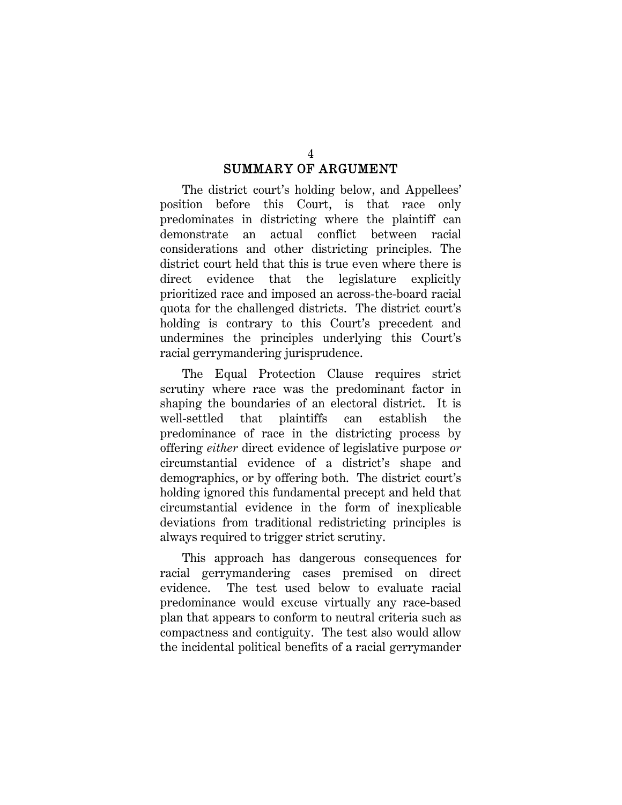## SUMMARY OF ARGUMENT

The district court's holding below, and Appellees' position before this Court, is that race only predominates in districting where the plaintiff can demonstrate an actual conflict between racial considerations and other districting principles. The district court held that this is true even where there is direct evidence that the legislature explicitly prioritized race and imposed an across-the-board racial quota for the challenged districts. The district court's holding is contrary to this Court's precedent and undermines the principles underlying this Court's racial gerrymandering jurisprudence.

The Equal Protection Clause requires strict scrutiny where race was the predominant factor in shaping the boundaries of an electoral district. It is well-settled that plaintiffs can establish the predominance of race in the districting process by offering *either* direct evidence of legislative purpose *or* circumstantial evidence of a district's shape and demographics, or by offering both. The district court's holding ignored this fundamental precept and held that circumstantial evidence in the form of inexplicable deviations from traditional redistricting principles is always required to trigger strict scrutiny.

This approach has dangerous consequences for racial gerrymandering cases premised on direct evidence. The test used below to evaluate racial predominance would excuse virtually any race-based plan that appears to conform to neutral criteria such as compactness and contiguity. The test also would allow the incidental political benefits of a racial gerrymander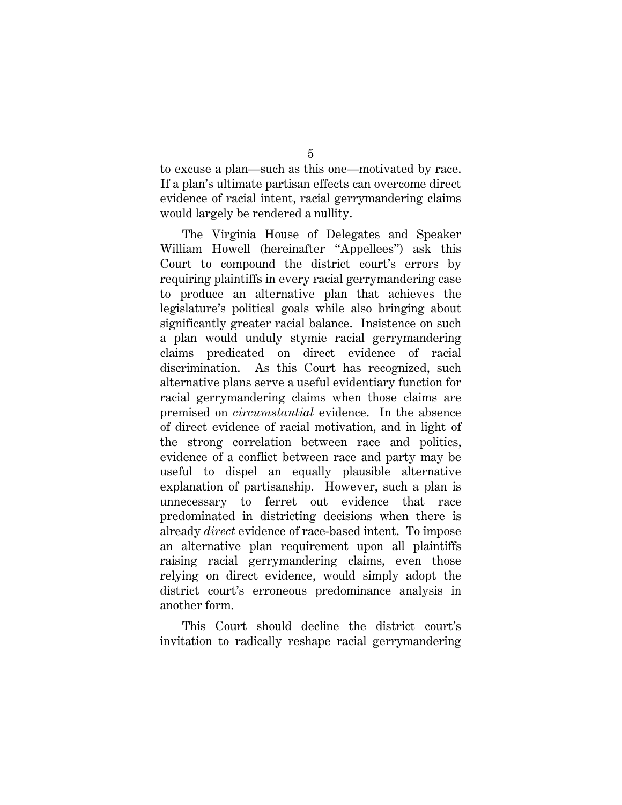to excuse a plan—such as this one—motivated by race. If a plan's ultimate partisan effects can overcome direct evidence of racial intent, racial gerrymandering claims would largely be rendered a nullity.

The Virginia House of Delegates and Speaker William Howell (hereinafter "Appellees") ask this Court to compound the district court's errors by requiring plaintiffs in every racial gerrymandering case to produce an alternative plan that achieves the legislature's political goals while also bringing about significantly greater racial balance. Insistence on such a plan would unduly stymie racial gerrymandering claims predicated on direct evidence of racial discrimination. As this Court has recognized, such alternative plans serve a useful evidentiary function for racial gerrymandering claims when those claims are premised on *circumstantial* evidence. In the absence of direct evidence of racial motivation, and in light of the strong correlation between race and politics, evidence of a conflict between race and party may be useful to dispel an equally plausible alternative explanation of partisanship. However, such a plan is unnecessary to ferret out evidence that race predominated in districting decisions when there is already *direct* evidence of race-based intent. To impose an alternative plan requirement upon all plaintiffs raising racial gerrymandering claims*,* even those relying on direct evidence, would simply adopt the district court's erroneous predominance analysis in another form.

This Court should decline the district court's invitation to radically reshape racial gerrymandering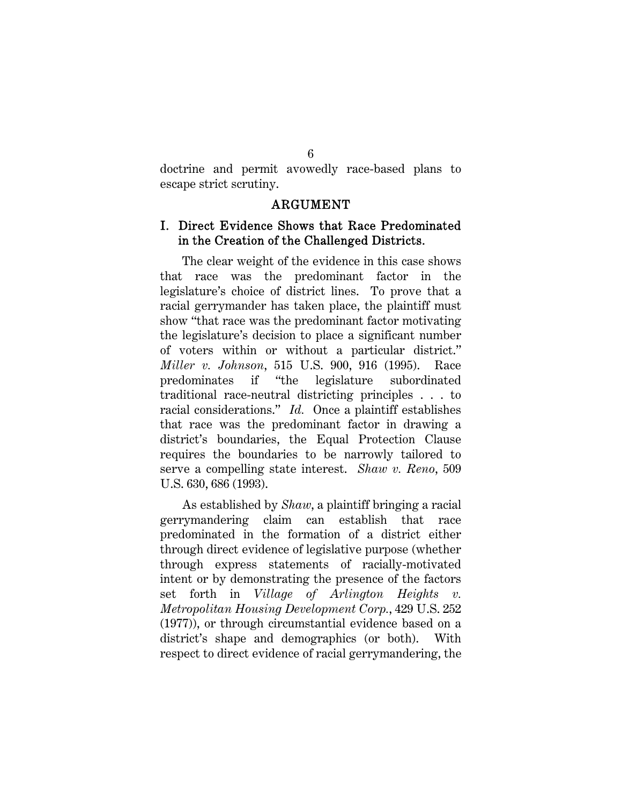doctrine and permit avowedly race-based plans to escape strict scrutiny.

#### ARGUMENT

## I. Direct Evidence Shows that Race Predominated in the Creation of the Challenged Districts.

The clear weight of the evidence in this case shows that race was the predominant factor in the legislature's choice of district lines. To prove that a racial gerrymander has taken place, the plaintiff must show "that race was the predominant factor motivating the legislature's decision to place a significant number of voters within or without a particular district." *Miller v. Johnson*, 515 U.S. 900, 916 (1995). Race predominates if "the legislature subordinated traditional race-neutral districting principles . . . to racial considerations." *Id.* Once a plaintiff establishes that race was the predominant factor in drawing a district's boundaries, the Equal Protection Clause requires the boundaries to be narrowly tailored to serve a compelling state interest. *Shaw v. Reno*, 509 U.S. 630, 686 (1993).

As established by *Shaw*, a plaintiff bringing a racial gerrymandering claim can establish that race predominated in the formation of a district either through direct evidence of legislative purpose (whether through express statements of racially-motivated intent or by demonstrating the presence of the factors set forth in *Village of Arlington Heights v. Metropolitan Housing Development Corp.*, 429 U.S. 252 (1977)), or through circumstantial evidence based on a district's shape and demographics (or both). With respect to direct evidence of racial gerrymandering, the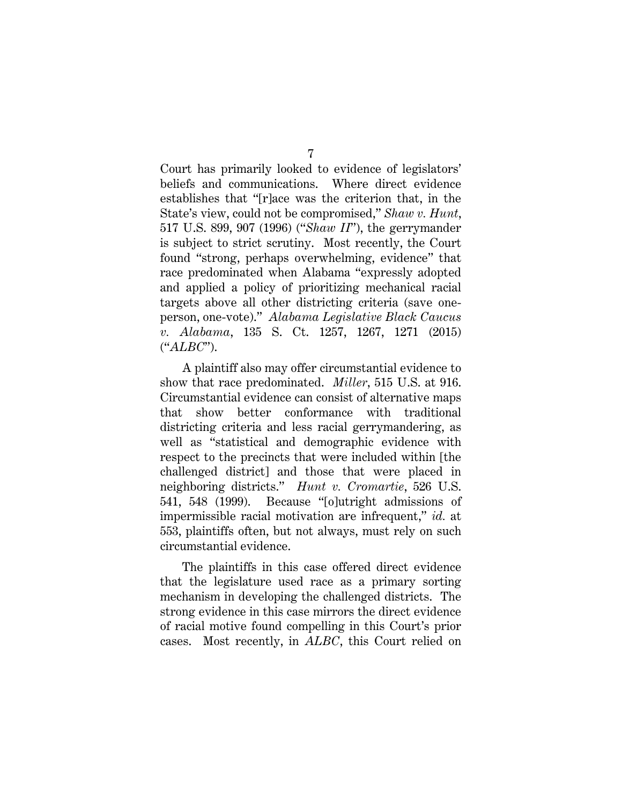Court has primarily looked to evidence of legislators' beliefs and communications. Where direct evidence establishes that "[r]ace was the criterion that, in the State's view, could not be compromised," *Shaw v. Hunt*, 517 U.S. 899, 907 (1996) ("*Shaw II*"), the gerrymander is subject to strict scrutiny. Most recently, the Court found "strong, perhaps overwhelming, evidence" that race predominated when Alabama "expressly adopted and applied a policy of prioritizing mechanical racial targets above all other districting criteria (save oneperson, one-vote)." *Alabama Legislative Black Caucus v. Alabama*, 135 S. Ct. 1257, 1267, 1271 (2015) ("*ALBC*").

A plaintiff also may offer circumstantial evidence to show that race predominated. *Miller*, 515 U.S. at 916. Circumstantial evidence can consist of alternative maps that show better conformance with traditional districting criteria and less racial gerrymandering, as well as "statistical and demographic evidence with respect to the precincts that were included within [the challenged district] and those that were placed in neighboring districts." *Hunt v. Cromartie*, 526 U.S. 541, 548 (1999). Because "[o]utright admissions of impermissible racial motivation are infrequent," *id.* at 553, plaintiffs often, but not always, must rely on such circumstantial evidence.

The plaintiffs in this case offered direct evidence that the legislature used race as a primary sorting mechanism in developing the challenged districts. The strong evidence in this case mirrors the direct evidence of racial motive found compelling in this Court's prior cases. Most recently, in *ALBC*, this Court relied on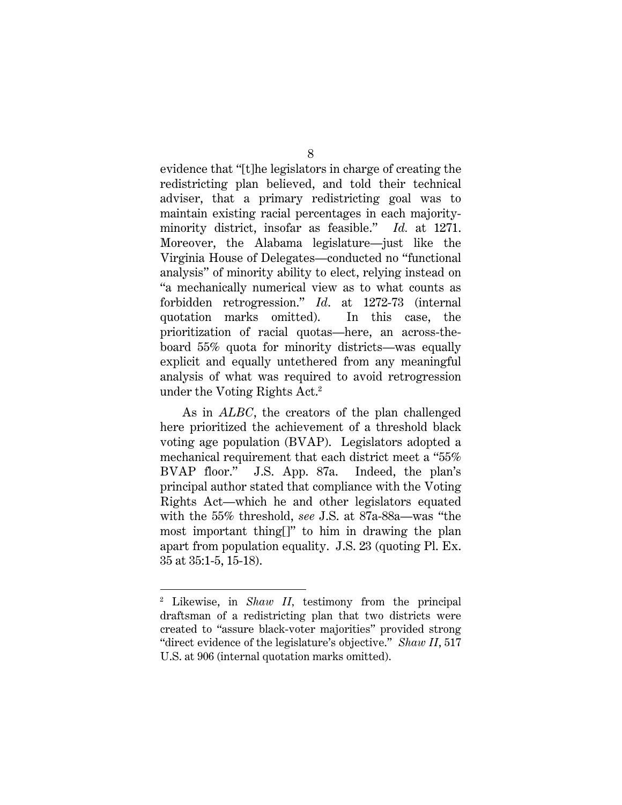evidence that "[t]he legislators in charge of creating the redistricting plan believed, and told their technical adviser, that a primary redistricting goal was to maintain existing racial percentages in each majorityminority district, insofar as feasible." *Id.* at 1271. Moreover, the Alabama legislature—just like the Virginia House of Delegates—conducted no "functional analysis" of minority ability to elect, relying instead on "a mechanically numerical view as to what counts as forbidden retrogression." *Id*. at 1272-73 (internal quotation marks omitted). In this case, the prioritization of racial quotas—here, an across-theboard 55% quota for minority districts—was equally explicit and equally untethered from any meaningful analysis of what was required to avoid retrogression under the Voting Rights Act.<sup>2</sup>

As in *ALBC*, the creators of the plan challenged here prioritized the achievement of a threshold black voting age population (BVAP). Legislators adopted a mechanical requirement that each district meet a "55% BVAP floor." J.S. App. 87a. Indeed, the plan's principal author stated that compliance with the Voting Rights Act—which he and other legislators equated with the 55% threshold, *see* J.S. at 87a-88a—was "the most important thing[]" to him in drawing the plan apart from population equality. J.S. 23 (quoting Pl. Ex. 35 at 35:1-5, 15-18).

<sup>2</sup> Likewise, in *Shaw II,* testimony from the principal draftsman of a redistricting plan that two districts were created to "assure black-voter majorities" provided strong "direct evidence of the legislature's objective." *Shaw II*, 517 U.S. at 906 (internal quotation marks omitted).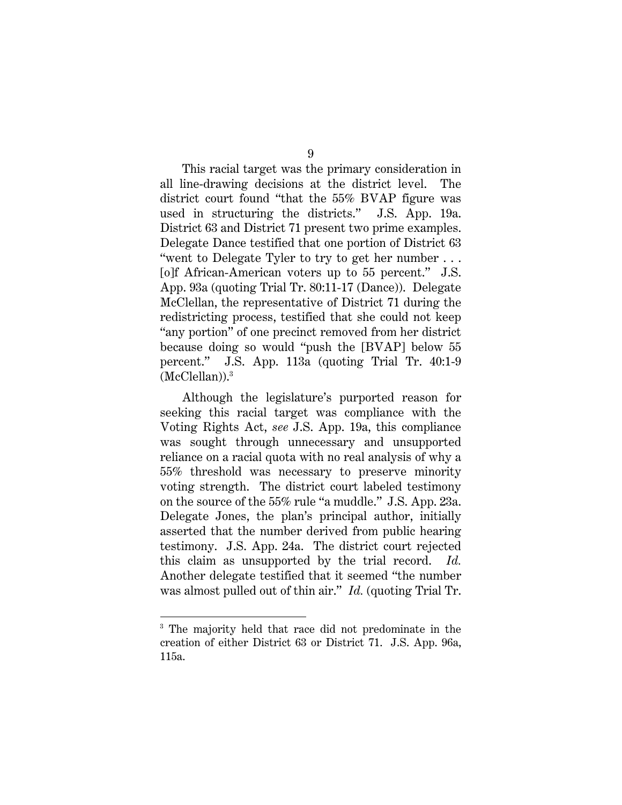This racial target was the primary consideration in all line-drawing decisions at the district level. The district court found "that the 55% BVAP figure was used in structuring the districts." J.S. App. 19a. District 63 and District 71 present two prime examples. Delegate Dance testified that one portion of District 63 "went to Delegate Tyler to try to get her number . . . [o]f African-American voters up to 55 percent." J.S. App. 93a (quoting Trial Tr. 80:11-17 (Dance)). Delegate McClellan, the representative of District 71 during the redistricting process, testified that she could not keep "any portion" of one precinct removed from her district because doing so would "push the [BVAP] below 55 percent." J.S. App. 113a (quoting Trial Tr. 40:1-9 (McClellan)).3

Although the legislature's purported reason for seeking this racial target was compliance with the Voting Rights Act, *see* J.S. App. 19a, this compliance was sought through unnecessary and unsupported reliance on a racial quota with no real analysis of why a 55% threshold was necessary to preserve minority voting strength. The district court labeled testimony on the source of the 55% rule "a muddle." J.S. App. 23a. Delegate Jones, the plan's principal author, initially asserted that the number derived from public hearing testimony. J.S. App. 24a. The district court rejected this claim as unsupported by the trial record. *Id.* Another delegate testified that it seemed "the number was almost pulled out of thin air." *Id.* (quoting Trial Tr.

l

<sup>3</sup> The majority held that race did not predominate in the creation of either District 63 or District 71. J.S. App. 96a, 115a.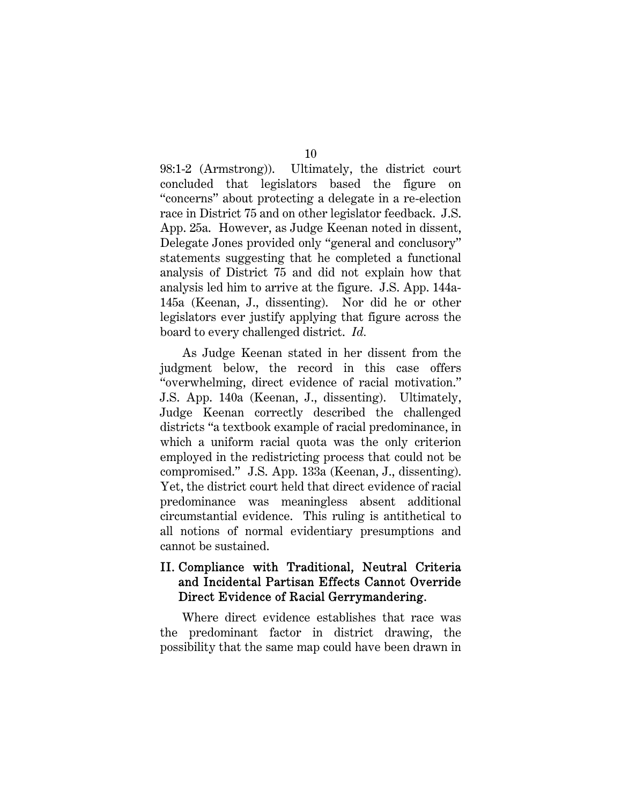98:1-2 (Armstrong)). Ultimately, the district court concluded that legislators based the figure on "concerns" about protecting a delegate in a re-election race in District 75 and on other legislator feedback. J.S. App. 25a. However, as Judge Keenan noted in dissent, Delegate Jones provided only "general and conclusory" statements suggesting that he completed a functional analysis of District 75 and did not explain how that analysis led him to arrive at the figure. J.S. App. 144a-145a (Keenan, J., dissenting). Nor did he or other legislators ever justify applying that figure across the board to every challenged district. *Id.* 

As Judge Keenan stated in her dissent from the judgment below, the record in this case offers "overwhelming, direct evidence of racial motivation." J.S. App. 140a (Keenan, J., dissenting). Ultimately, Judge Keenan correctly described the challenged districts "a textbook example of racial predominance, in which a uniform racial quota was the only criterion employed in the redistricting process that could not be compromised." J.S. App. 133a (Keenan, J., dissenting). Yet, the district court held that direct evidence of racial predominance was meaningless absent additional circumstantial evidence. This ruling is antithetical to all notions of normal evidentiary presumptions and cannot be sustained.

## II. Compliance with Traditional, Neutral Criteria and Incidental Partisan Effects Cannot Override Direct Evidence of Racial Gerrymandering.

Where direct evidence establishes that race was the predominant factor in district drawing, the possibility that the same map could have been drawn in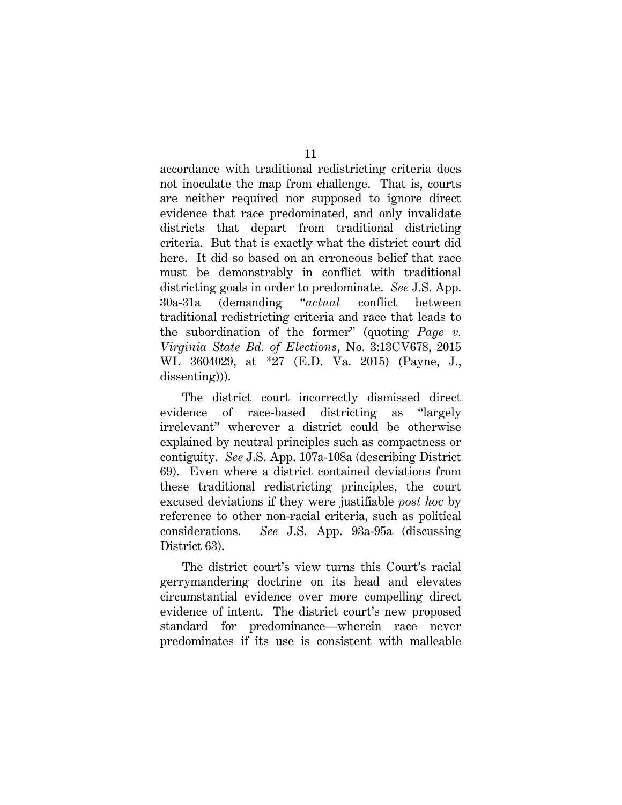accordance with traditional redistricting criteria does not inoculate the map from challenge. That is, courts are neither required nor supposed to ignore direct evidence that race predominated, and only invalidate districts that depart from traditional districting criteria. But that is exactly what the district court did here. It did so based on an erroneous belief that race must be demonstrably in conflict with traditional districting goals in order to predominate. *See* J.S. App. 30a-31a (demanding "*actual* conflict between traditional redistricting criteria and race that leads to the subordination of the former" (quoting *Page v. Virginia State Bd. of Elections*, No. 3:13CV678, 2015 WL 3604029, at \*27 (E.D. Va. 2015) (Payne, J., dissenting))).

The district court incorrectly dismissed direct evidence of race-based districting as "largely irrelevant" wherever a district could be otherwise explained by neutral principles such as compactness or contiguity. *See* J.S. App. 107a-108a (describing District 69). Even where a district contained deviations from these traditional redistricting principles, the court excused deviations if they were justifiable *post hoc* by reference to other non-racial criteria, such as political considerations. *See* J.S. App. 93a-95a (discussing District 63).

The district court's view turns this Court's racial gerrymandering doctrine on its head and elevates circumstantial evidence over more compelling direct evidence of intent. The district court's new proposed standard for predominance—wherein race never predominates if its use is consistent with malleable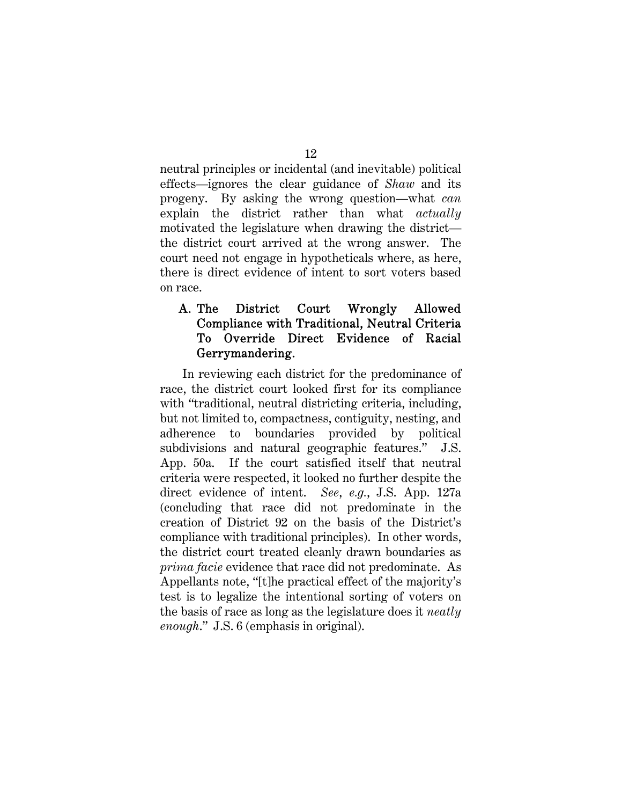neutral principles or incidental (and inevitable) political effects—ignores the clear guidance of *Shaw* and its progeny. By asking the wrong question—what *can*  explain the district rather than what *actually* motivated the legislature when drawing the district the district court arrived at the wrong answer. The court need not engage in hypotheticals where, as here, there is direct evidence of intent to sort voters based on race.

## A. The District Court Wrongly Allowed Compliance with Traditional, Neutral Criteria To Override Direct Evidence of Racial Gerrymandering.

In reviewing each district for the predominance of race, the district court looked first for its compliance with "traditional, neutral districting criteria, including, but not limited to, compactness, contiguity, nesting, and adherence to boundaries provided by political subdivisions and natural geographic features." J.S. App. 50a. If the court satisfied itself that neutral criteria were respected, it looked no further despite the direct evidence of intent. *See*, *e.g.*, J.S. App. 127a (concluding that race did not predominate in the creation of District 92 on the basis of the District's compliance with traditional principles). In other words, the district court treated cleanly drawn boundaries as *prima facie* evidence that race did not predominate. As Appellants note, "[t]he practical effect of the majority's test is to legalize the intentional sorting of voters on the basis of race as long as the legislature does it *neatly enough*." J.S. 6 (emphasis in original).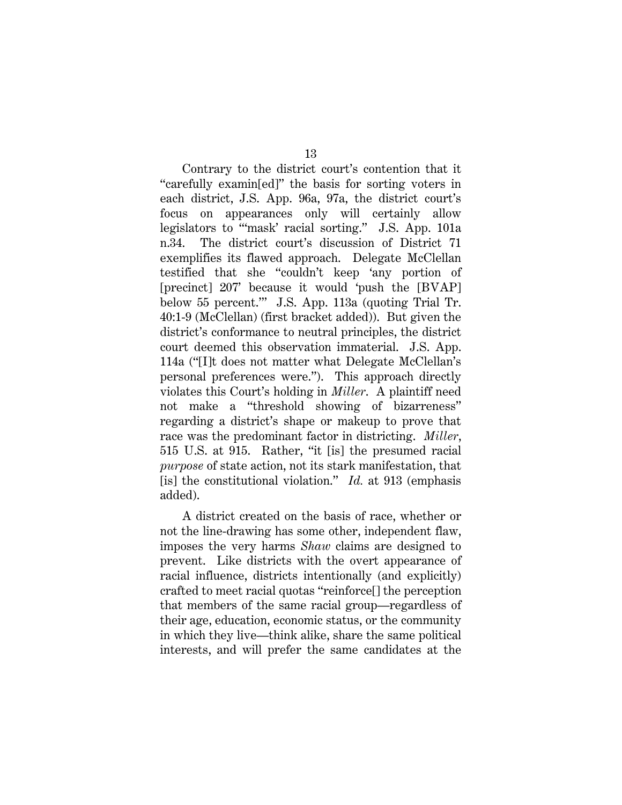Contrary to the district court's contention that it "carefully examin[ed]" the basis for sorting voters in each district, J.S. App. 96a, 97a, the district court's focus on appearances only will certainly allow legislators to "'mask' racial sorting." J.S. App. 101a n.34. The district court's discussion of District 71 exemplifies its flawed approach. Delegate McClellan testified that she "couldn't keep 'any portion of [precinct] 207' because it would 'push the [BVAP] below 55 percent.'" J.S. App. 113a (quoting Trial Tr. 40:1-9 (McClellan) (first bracket added)). But given the district's conformance to neutral principles, the district court deemed this observation immaterial. J.S. App. 114a ("[I]t does not matter what Delegate McClellan's personal preferences were."). This approach directly violates this Court's holding in *Miller*. A plaintiff need not make a "threshold showing of bizarreness" regarding a district's shape or makeup to prove that race was the predominant factor in districting. *Miller*, 515 U.S. at 915. Rather, "it [is] the presumed racial *purpose* of state action, not its stark manifestation, that [is] the constitutional violation." *Id.* at 913 (emphasis added).

A district created on the basis of race, whether or not the line-drawing has some other, independent flaw, imposes the very harms *Shaw* claims are designed to prevent. Like districts with the overt appearance of racial influence, districts intentionally (and explicitly) crafted to meet racial quotas "reinforce[] the perception that members of the same racial group—regardless of their age, education, economic status, or the community in which they live—think alike, share the same political interests, and will prefer the same candidates at the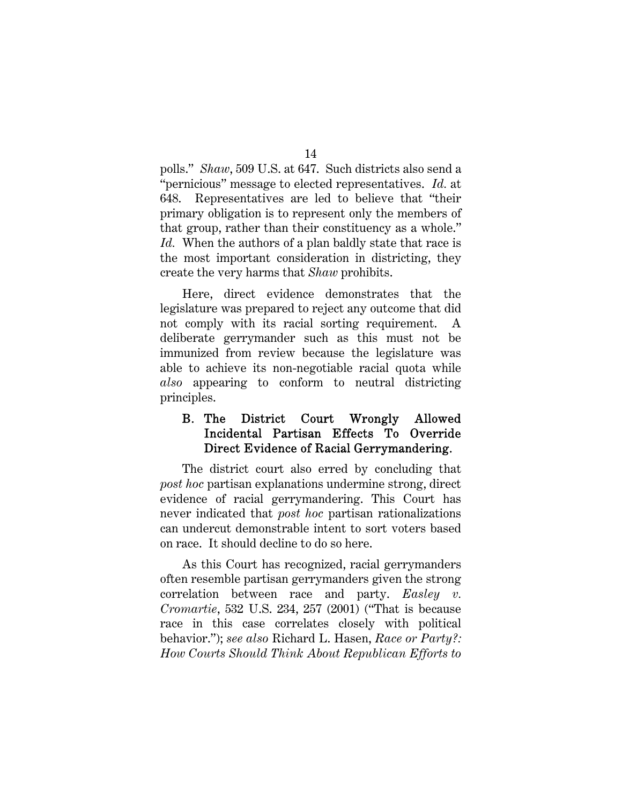polls." *Shaw*, 509 U.S. at 647. Such districts also send a "pernicious" message to elected representatives. *Id.* at 648. Representatives are led to believe that "their primary obligation is to represent only the members of that group, rather than their constituency as a whole." *Id.* When the authors of a plan baldly state that race is the most important consideration in districting, they create the very harms that *Shaw* prohibits.

Here, direct evidence demonstrates that the legislature was prepared to reject any outcome that did not comply with its racial sorting requirement. A deliberate gerrymander such as this must not be immunized from review because the legislature was able to achieve its non-negotiable racial quota while *also* appearing to conform to neutral districting principles.

## B. The District Court Wrongly Allowed Incidental Partisan Effects To Override Direct Evidence of Racial Gerrymandering.

The district court also erred by concluding that *post hoc* partisan explanations undermine strong, direct evidence of racial gerrymandering. This Court has never indicated that *post hoc* partisan rationalizations can undercut demonstrable intent to sort voters based on race. It should decline to do so here.

As this Court has recognized, racial gerrymanders often resemble partisan gerrymanders given the strong correlation between race and party. *Easley v. Cromartie*, 532 U.S. 234, 257 (2001) ("That is because race in this case correlates closely with political behavior."); *see also* Richard L. Hasen, *Race or Party?: How Courts Should Think About Republican Efforts to* 

14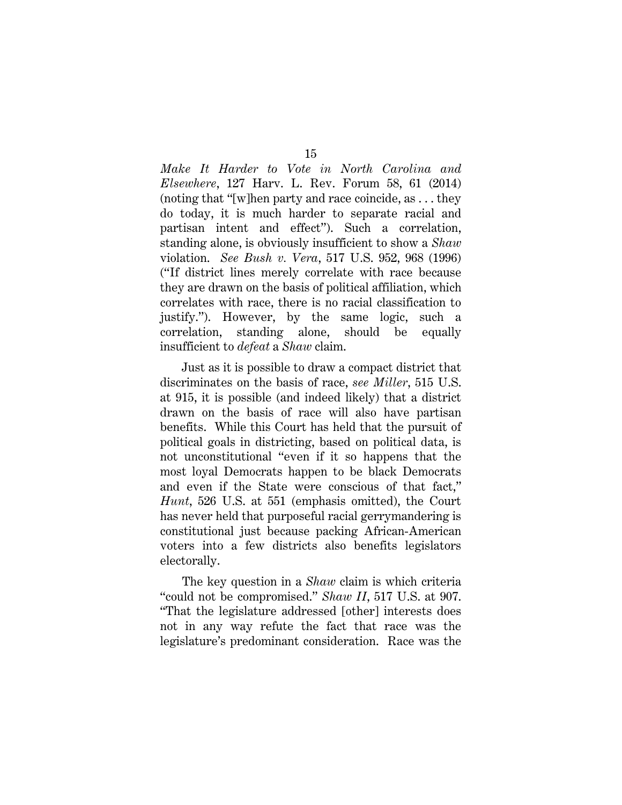*Make It Harder to Vote in North Carolina and Elsewhere*, 127 Harv. L. Rev. Forum 58, 61 (2014) (noting that "[w]hen party and race coincide, as . . . they do today, it is much harder to separate racial and partisan intent and effect"). Such a correlation, standing alone, is obviously insufficient to show a *Shaw*  violation. *See Bush v. Vera*, 517 U.S. 952, 968 (1996) ("If district lines merely correlate with race because they are drawn on the basis of political affiliation, which correlates with race, there is no racial classification to justify."). However, by the same logic, such a correlation, standing alone, should be equally insufficient to *defeat* a *Shaw* claim.

Just as it is possible to draw a compact district that discriminates on the basis of race, *see Miller*, 515 U.S. at 915, it is possible (and indeed likely) that a district drawn on the basis of race will also have partisan benefits. While this Court has held that the pursuit of political goals in districting, based on political data, is not unconstitutional "even if it so happens that the most loyal Democrats happen to be black Democrats and even if the State were conscious of that fact," *Hunt*, 526 U.S. at 551 (emphasis omitted), the Court has never held that purposeful racial gerrymandering is constitutional just because packing African-American voters into a few districts also benefits legislators electorally.

The key question in a *Shaw* claim is which criteria "could not be compromised." *Shaw II*, 517 U.S. at 907. "That the legislature addressed [other] interests does not in any way refute the fact that race was the legislature's predominant consideration. Race was the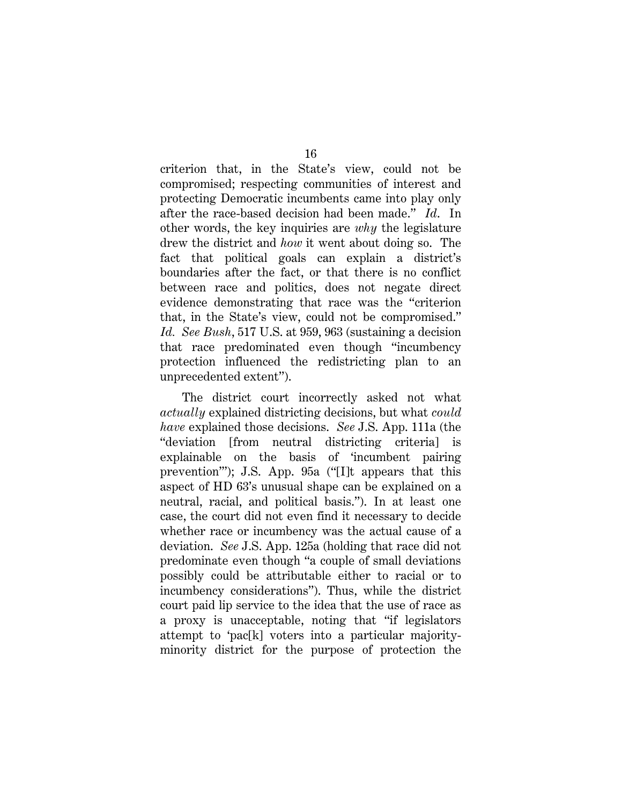criterion that, in the State's view, could not be compromised; respecting communities of interest and protecting Democratic incumbents came into play only after the race-based decision had been made." *Id*. In other words, the key inquiries are *why* the legislature drew the district and *how* it went about doing so. The fact that political goals can explain a district's boundaries after the fact, or that there is no conflict between race and politics, does not negate direct evidence demonstrating that race was the "criterion that, in the State's view, could not be compromised." *Id. See Bush*, 517 U.S. at 959, 963 (sustaining a decision that race predominated even though "incumbency protection influenced the redistricting plan to an unprecedented extent").

The district court incorrectly asked not what *actually* explained districting decisions, but what *could have* explained those decisions. *See* J.S. App. 111a (the "deviation [from neutral districting criteria] is explainable on the basis of 'incumbent pairing prevention'"); J.S. App. 95a ("[I]t appears that this aspect of HD 63's unusual shape can be explained on a neutral, racial, and political basis."). In at least one case, the court did not even find it necessary to decide whether race or incumbency was the actual cause of a deviation. *See* J.S. App. 125a (holding that race did not predominate even though "a couple of small deviations possibly could be attributable either to racial or to incumbency considerations"). Thus, while the district court paid lip service to the idea that the use of race as a proxy is unacceptable, noting that "if legislators attempt to 'pac[k] voters into a particular majorityminority district for the purpose of protection the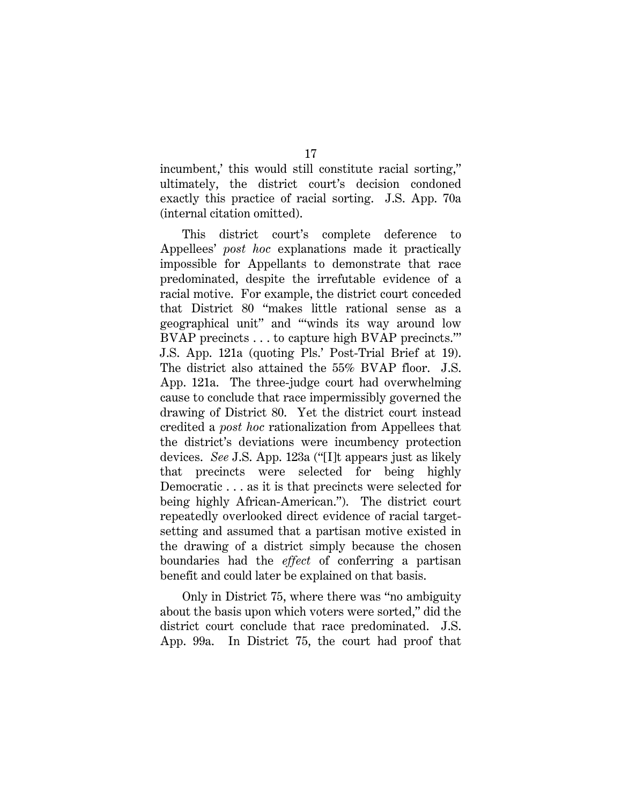incumbent,' this would still constitute racial sorting," ultimately, the district court's decision condoned exactly this practice of racial sorting. J.S. App. 70a (internal citation omitted).

This district court's complete deference to Appellees' *post hoc* explanations made it practically impossible for Appellants to demonstrate that race predominated, despite the irrefutable evidence of a racial motive. For example, the district court conceded that District 80 "makes little rational sense as a geographical unit" and "'winds its way around low BVAP precincts . . . to capture high BVAP precincts.'" J.S. App. 121a (quoting Pls.' Post-Trial Brief at 19). The district also attained the 55% BVAP floor. J.S. App. 121a. The three-judge court had overwhelming cause to conclude that race impermissibly governed the drawing of District 80. Yet the district court instead credited a *post hoc* rationalization from Appellees that the district's deviations were incumbency protection devices. *See* J.S. App. 123a ("[I]t appears just as likely that precincts were selected for being highly Democratic . . . as it is that precincts were selected for being highly African-American."). The district court repeatedly overlooked direct evidence of racial targetsetting and assumed that a partisan motive existed in the drawing of a district simply because the chosen boundaries had the *effect* of conferring a partisan benefit and could later be explained on that basis.

Only in District 75, where there was "no ambiguity about the basis upon which voters were sorted," did the district court conclude that race predominated. J.S. App. 99a. In District 75, the court had proof that

17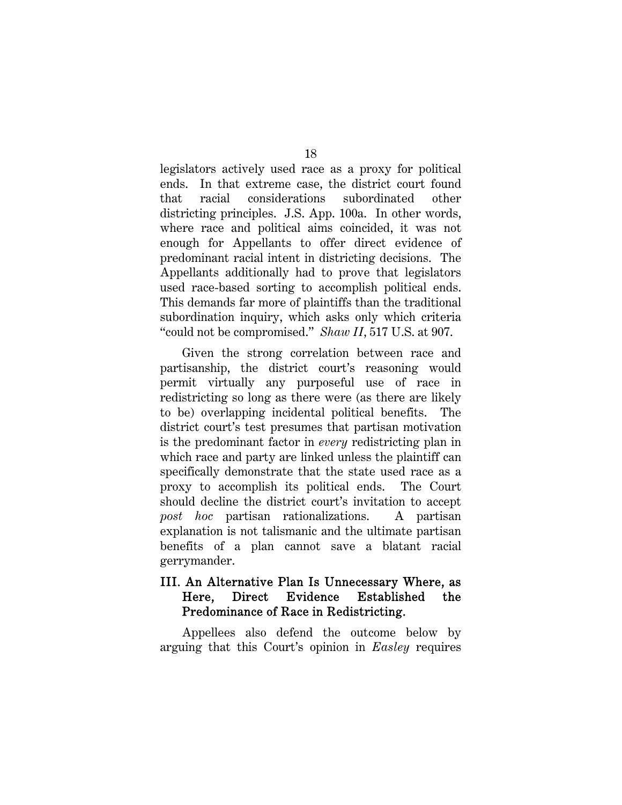legislators actively used race as a proxy for political ends. In that extreme case, the district court found that racial considerations subordinated other districting principles. J.S. App. 100a. In other words, where race and political aims coincided, it was not enough for Appellants to offer direct evidence of predominant racial intent in districting decisions. The Appellants additionally had to prove that legislators used race-based sorting to accomplish political ends. This demands far more of plaintiffs than the traditional subordination inquiry, which asks only which criteria "could not be compromised." *Shaw II*, 517 U.S. at 907.

Given the strong correlation between race and partisanship, the district court's reasoning would permit virtually any purposeful use of race in redistricting so long as there were (as there are likely to be) overlapping incidental political benefits. The district court's test presumes that partisan motivation is the predominant factor in *every* redistricting plan in which race and party are linked unless the plaintiff can specifically demonstrate that the state used race as a proxy to accomplish its political ends. The Court should decline the district court's invitation to accept *post hoc* partisan rationalizations. A partisan explanation is not talismanic and the ultimate partisan benefits of a plan cannot save a blatant racial gerrymander.

## III. An Alternative Plan Is Unnecessary Where, as Here, Direct Evidence Established the Predominance of Race in Redistricting.

Appellees also defend the outcome below by arguing that this Court's opinion in *Easley* requires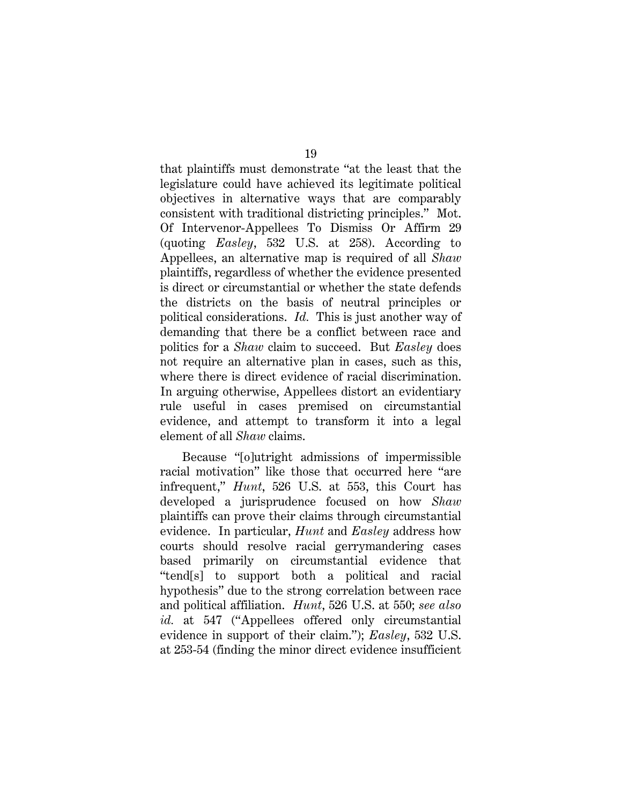that plaintiffs must demonstrate "at the least that the legislature could have achieved its legitimate political objectives in alternative ways that are comparably consistent with traditional districting principles." Mot. Of Intervenor-Appellees To Dismiss Or Affirm 29 (quoting *Easley*, 532 U.S. at 258). According to Appellees, an alternative map is required of all *Shaw* plaintiffs, regardless of whether the evidence presented is direct or circumstantial or whether the state defends the districts on the basis of neutral principles or political considerations. *Id.* This is just another way of demanding that there be a conflict between race and politics for a *Shaw* claim to succeed. But *Easley* does not require an alternative plan in cases, such as this, where there is direct evidence of racial discrimination. In arguing otherwise, Appellees distort an evidentiary rule useful in cases premised on circumstantial evidence, and attempt to transform it into a legal element of all *Shaw* claims.

Because "[o]utright admissions of impermissible racial motivation" like those that occurred here "are infrequent," *Hunt*, 526 U.S. at 553, this Court has developed a jurisprudence focused on how *Shaw* plaintiffs can prove their claims through circumstantial evidence. In particular, *Hunt* and *Easley* address how courts should resolve racial gerrymandering cases based primarily on circumstantial evidence that "tend[s] to support both a political and racial hypothesis" due to the strong correlation between race and political affiliation. *Hunt*, 526 U.S. at 550; *see also id.* at 547 ("Appellees offered only circumstantial evidence in support of their claim."); *Easley*, 532 U.S. at 253-54 (finding the minor direct evidence insufficient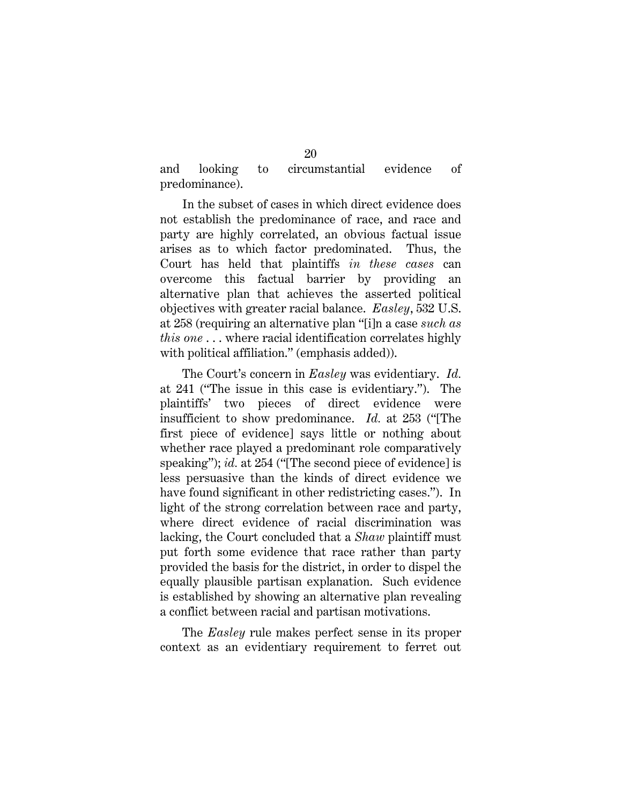and looking to circumstantial evidence of predominance).

In the subset of cases in which direct evidence does not establish the predominance of race, and race and party are highly correlated, an obvious factual issue arises as to which factor predominated. Thus, the Court has held that plaintiffs *in these cases* can overcome this factual barrier by providing an alternative plan that achieves the asserted political objectives with greater racial balance. *Easley*, 532 U.S. at 258 (requiring an alternative plan "[i]n a case *such as this one* . . . where racial identification correlates highly with political affiliation." (emphasis added)).

The Court's concern in *Easley* was evidentiary. *Id.*  at 241 ("The issue in this case is evidentiary."). The plaintiffs' two pieces of direct evidence were insufficient to show predominance. *Id.* at 253 ("[The first piece of evidence] says little or nothing about whether race played a predominant role comparatively speaking"); *id.* at 254 ("The second piece of evidence] is less persuasive than the kinds of direct evidence we have found significant in other redistricting cases."). In light of the strong correlation between race and party, where direct evidence of racial discrimination was lacking, the Court concluded that a *Shaw* plaintiff must put forth some evidence that race rather than party provided the basis for the district, in order to dispel the equally plausible partisan explanation. Such evidence is established by showing an alternative plan revealing a conflict between racial and partisan motivations.

The *Easley* rule makes perfect sense in its proper context as an evidentiary requirement to ferret out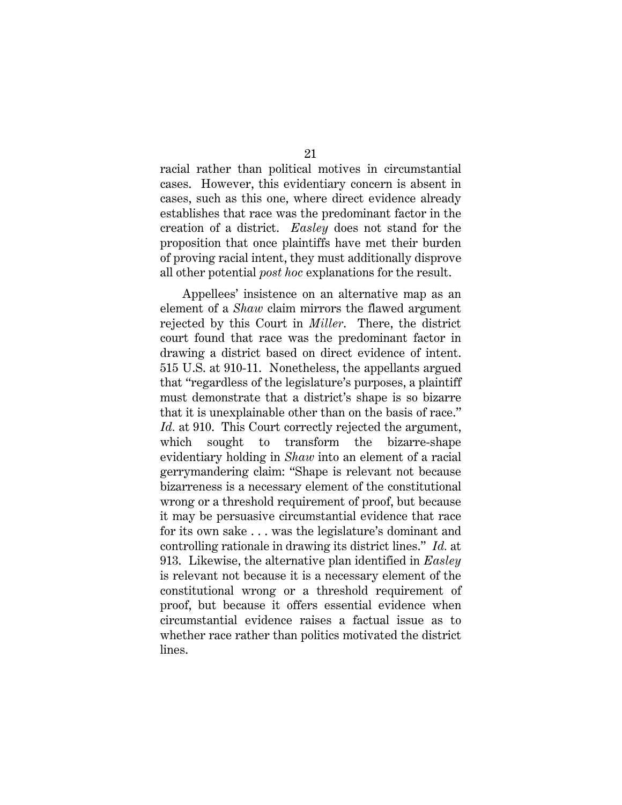racial rather than political motives in circumstantial cases. However, this evidentiary concern is absent in cases, such as this one, where direct evidence already establishes that race was the predominant factor in the creation of a district. *Easley* does not stand for the proposition that once plaintiffs have met their burden of proving racial intent, they must additionally disprove all other potential *post hoc* explanations for the result.

Appellees' insistence on an alternative map as an element of a *Shaw* claim mirrors the flawed argument rejected by this Court in *Miller*. There, the district court found that race was the predominant factor in drawing a district based on direct evidence of intent. 515 U.S. at 910-11. Nonetheless, the appellants argued that "regardless of the legislature's purposes, a plaintiff must demonstrate that a district's shape is so bizarre that it is unexplainable other than on the basis of race." Id. at 910. This Court correctly rejected the argument, which sought to transform the bizarre-shape evidentiary holding in *Shaw* into an element of a racial gerrymandering claim: "Shape is relevant not because bizarreness is a necessary element of the constitutional wrong or a threshold requirement of proof, but because it may be persuasive circumstantial evidence that race for its own sake . . . was the legislature's dominant and controlling rationale in drawing its district lines." *Id.* at 913. Likewise, the alternative plan identified in *Easley* is relevant not because it is a necessary element of the constitutional wrong or a threshold requirement of proof, but because it offers essential evidence when circumstantial evidence raises a factual issue as to whether race rather than politics motivated the district lines.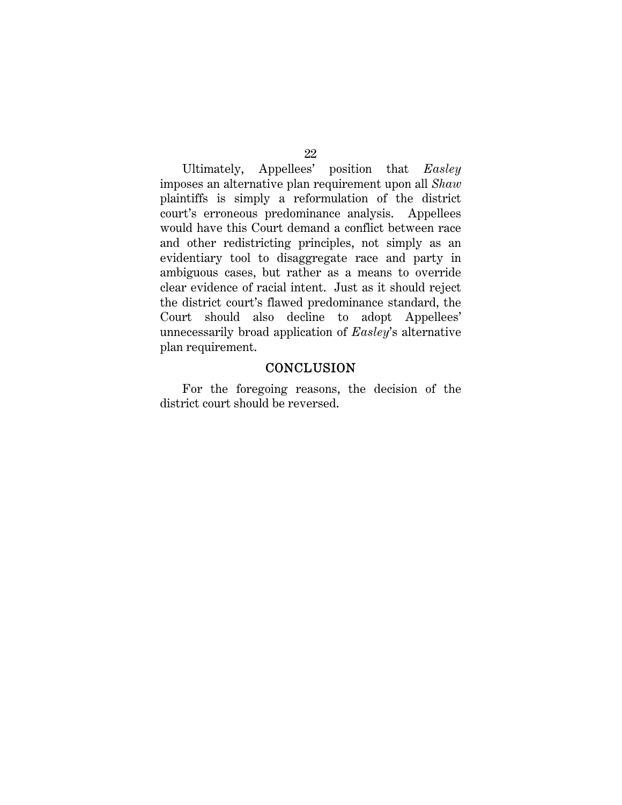Ultimately, Appellees' position that *Easley*  imposes an alternative plan requirement upon all *Shaw*  plaintiffs is simply a reformulation of the district court's erroneous predominance analysis. Appellees would have this Court demand a conflict between race and other redistricting principles, not simply as an evidentiary tool to disaggregate race and party in ambiguous cases, but rather as a means to override clear evidence of racial intent. Just as it should reject the district court's flawed predominance standard, the Court should also decline to adopt Appellees' unnecessarily broad application of *Easley*'s alternative plan requirement.

#### **CONCLUSION**

For the foregoing reasons, the decision of the district court should be reversed.